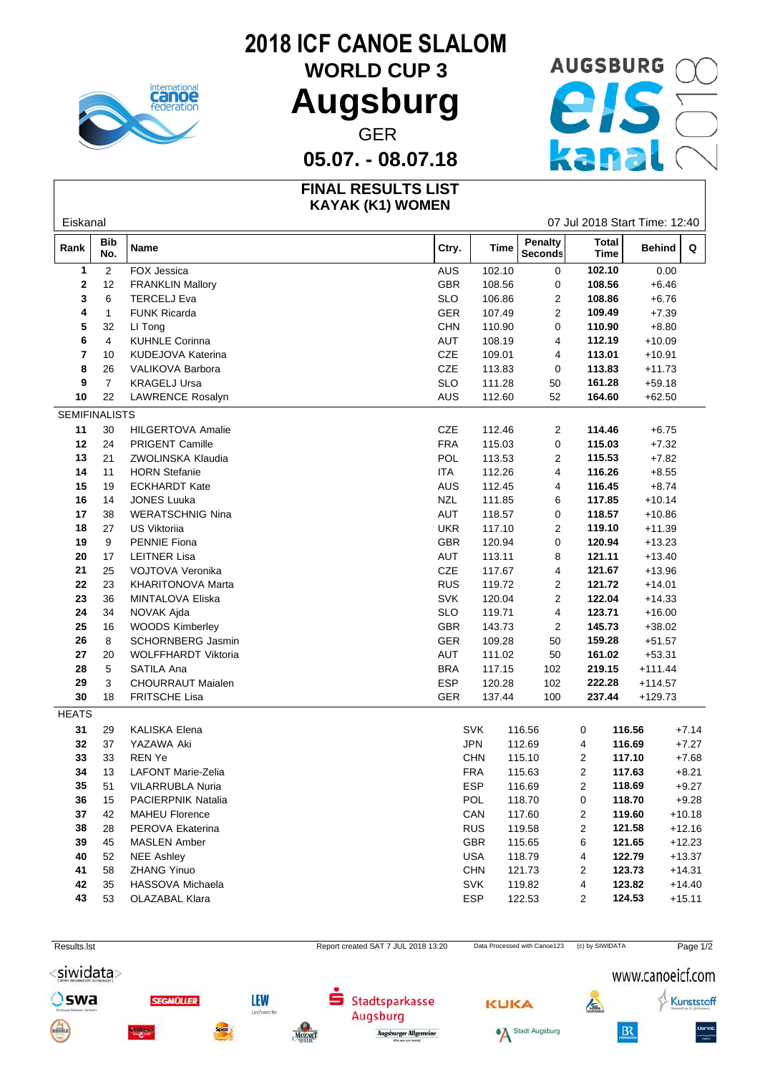

# **2018 ICF CANOE SLALOM**

**WORLD CUP 3**

### **05.07. - 08.07.18**

#### **FINAL RESULTS LIST KAYAK (K1) WOMEN**



| Eiskanal             |                   |                           |            |             |                    |                             | 07 Jul 2018 Start Time: 12:40 |          |
|----------------------|-------------------|---------------------------|------------|-------------|--------------------|-----------------------------|-------------------------------|----------|
| Rank                 | <b>Bib</b><br>No. | <b>Name</b>               | Ctry.      | <b>Time</b> | Penalty<br>Seconds | <b>Total</b><br><b>Time</b> | <b>Behind</b>                 | Q        |
| 1                    | $\overline{2}$    | FOX Jessica               | AUS        | 102.10      | 0                  | 102.10                      | 0.00                          |          |
| 2                    | 12                | <b>FRANKLIN Mallory</b>   | GBR        | 108.56      | 0                  | 108.56                      | $+6.46$                       |          |
| 3                    | 6                 | <b>TERCELJ Eva</b>        | <b>SLO</b> | 106.86      | $\overline{c}$     | 108.86                      | $+6.76$                       |          |
| 4                    | $\mathbf{1}$      | FUNK Ricarda              | GER        | 107.49      | 2                  | 109.49                      | $+7.39$                       |          |
| 5                    | 32                | LI Tong                   | <b>CHN</b> | 110.90      | 0                  | 110.90                      | $+8.80$                       |          |
| 6                    | 4                 | <b>KUHNLE Corinna</b>     | AUT        | 108.19      | 4                  | 112.19                      | $+10.09$                      |          |
| 7                    | 10                | KUDEJOVA Katerina         | CZE        | 109.01      | 4                  | 113.01                      | $+10.91$                      |          |
| 8                    | 26                | VALIKOVA Barbora          | CZE        | 113.83      | 0                  | 113.83                      | $+11.73$                      |          |
| 9                    | $\overline{7}$    | <b>KRAGELJ Ursa</b>       | <b>SLO</b> | 111.28      | 50                 | 161.28                      | $+59.18$                      |          |
| 10                   | 22                | LAWRENCE Rosalyn          | AUS        | 112.60      | 52                 | 164.60                      | $+62.50$                      |          |
| <b>SEMIFINALISTS</b> |                   |                           |            |             |                    |                             |                               |          |
| 11                   | 30                | <b>HILGERTOVA Amalie</b>  | CZE        | 112.46      | $\overline{2}$     | 114.46                      | $+6.75$                       |          |
| 12                   | 24                | <b>PRIGENT Camille</b>    | <b>FRA</b> | 115.03      | 0                  | 115.03                      | $+7.32$                       |          |
| 13                   | 21                | ZWOLINSKA Klaudia         | POL        | 113.53      | 2                  | 115.53                      | $+7.82$                       |          |
| 14                   | 11                | <b>HORN Stefanie</b>      | <b>ITA</b> | 112.26      | 4                  | 116.26                      | $+8.55$                       |          |
| 15                   | 19                | <b>ECKHARDT Kate</b>      | AUS        | 112.45      | 4                  | 116.45                      | $+8.74$                       |          |
| 16                   | 14                | <b>JONES Luuka</b>        | <b>NZL</b> | 111.85      | 6                  | 117.85                      | $+10.14$                      |          |
| 17                   | 38                | <b>WERATSCHNIG Nina</b>   | AUT        | 118.57      | 0                  | 118.57                      | $+10.86$                      |          |
| 18                   | 27                | US Viktorija              | <b>UKR</b> | 117.10      | $\overline{2}$     | 119.10                      | $+11.39$                      |          |
| 19                   | 9                 | PENNIE Fiona              | GBR        | 120.94      | 0                  | 120.94                      | $+13.23$                      |          |
| ${\bf 20}$           | 17                | <b>LEITNER Lisa</b>       | AUT        | 113.11      | 8                  | 121.11                      | $+13.40$                      |          |
| 21                   | 25                | VOJTOVA Veronika          | CZE        | 117.67      | 4                  | 121.67                      | $+13.96$                      |          |
| 22                   | 23                | KHARITONOVA Marta         | <b>RUS</b> | 119.72      | 2                  | 121.72                      | $+14.01$                      |          |
| 23                   | 36                | MINTALOVA Eliska          | <b>SVK</b> | 120.04      | $\overline{c}$     | 122.04                      | $+14.33$                      |          |
| 24                   | 34                | NOVAK Ajda                | <b>SLO</b> | 119.71      | 4                  | 123.71                      | $+16.00$                      |          |
| 25                   | 16                | <b>WOODS Kimberley</b>    | GBR        | 143.73      | $\overline{2}$     | 145.73                      | $+38.02$                      |          |
| ${\bf 26}$           | 8                 | SCHORNBERG Jasmin         | GER        | 109.28      | 50                 | 159.28                      | $+51.57$                      |          |
| 27                   | 20                | WOLFFHARDT Viktoria       | AUT        | 111.02      | 50                 | 161.02                      | $+53.31$                      |          |
| 28                   | 5                 | SATILA Ana                | <b>BRA</b> | 117.15      | 102                | 219.15                      | $+111.44$                     |          |
| 29                   | 3                 | CHOURRAUT Maialen         | <b>ESP</b> | 120.28      | 102                | 222.28                      | $+114.57$                     |          |
| 30                   | 18                | FRITSCHE Lisa             | GER        | 137.44      | 100                | 237.44                      | $+129.73$                     |          |
| <b>HEATS</b>         |                   |                           |            |             |                    |                             |                               |          |
| 31                   | 29                | KALISKA Elena             |            | <b>SVK</b>  | 116.56             | 0                           | 116.56                        | $+7.14$  |
| 32                   | 37                | YAZAWA Aki                |            | <b>JPN</b>  | 112.69             | 4                           | 116.69                        | $+7.27$  |
| 33                   | 33                | <b>REN Ye</b>             |            | <b>CHN</b>  | 115.10             | 2                           | 117.10                        | $+7.68$  |
| 34                   | 13                | <b>LAFONT Marie-Zelia</b> |            | <b>FRA</b>  | 115.63             | $\overline{2}$              | 117.63                        | $+8.21$  |
| 35                   | 51                | VILARRUBLA Nuria          |            | <b>ESP</b>  | 116.69             | 2                           | 118.69                        | $+9.27$  |
| 36                   | 15                | <b>PACIERPNIK Natalia</b> |            | <b>POL</b>  | 118.70             | 0                           | 118.70                        | $+9.28$  |
| 37                   | 42                | <b>MAHEU Florence</b>     |            | CAN         | 117.60             | $\overline{2}$              | 119.60                        | $+10.18$ |
| 38                   | 28                | PEROVA Ekaterina          |            | <b>RUS</b>  | 119.58             | $\overline{2}$              | 121.58                        | $+12.16$ |
| 39                   | 45                | <b>MASLEN Amber</b>       |            | <b>GBR</b>  | 115.65             | 6                           | 121.65                        | $+12.23$ |
| 40                   | 52                | <b>NEE Ashley</b>         |            | <b>USA</b>  | 118.79             | 4                           | 122.79                        | $+13.37$ |
| 41                   | 58                | <b>ZHANG Yinuo</b>        |            | <b>CHN</b>  | 121.73             | 2                           | 123.73                        | $+14.31$ |
| 42                   | 35                | HASSOVA Michaela          |            | <b>SVK</b>  | 119.82             | 4                           | 123.82                        | $+14.40$ |
| 43                   | 53                | OLAZABAL Klara            |            | ESP         | 122.53             | 2                           | 124.53                        | $+15.11$ |
|                      |                   |                           |            |             |                    |                             |                               |          |
|                      |                   |                           |            |             |                    |                             |                               |          |

Report created SAT 7 JUL 2018 13:20 Data Processed with Canoe123 (c) by SIWIDATA Page 1/2 <siwidata> www.canoeicf.com Oswa **LEW SEGMOLLER** Stadtsparkasse Kunststoff **KUKA**  $\sqrt{2}$ vorki Augsburg  $B<sub>x</sub>$ <sup>6</sup>A Stadt Augsburg Augsburger Allgemeine MOZART